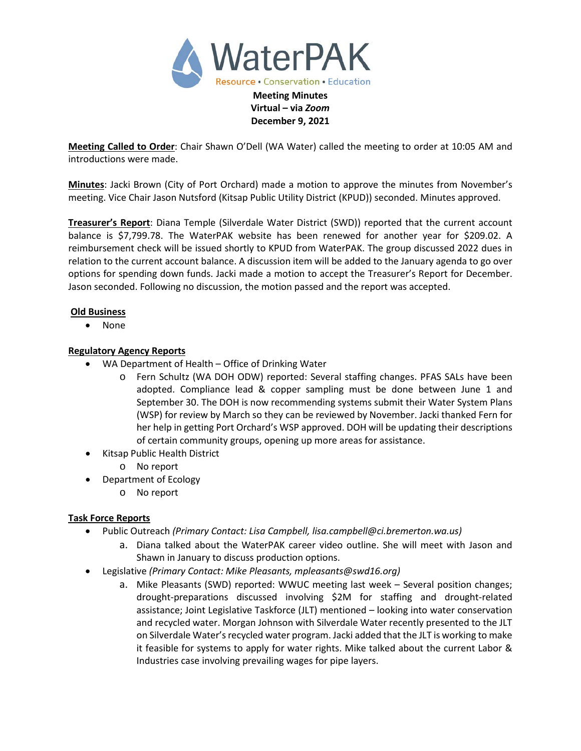

**Meeting Called to Order**: Chair Shawn O'Dell (WA Water) called the meeting to order at 10:05 AM and introductions were made.

**December 9, 2021**

**Minutes**: Jacki Brown (City of Port Orchard) made a motion to approve the minutes from November's meeting. Vice Chair Jason Nutsford (Kitsap Public Utility District (KPUD)) seconded. Minutes approved.

**Treasurer's Report**: Diana Temple (Silverdale Water District (SWD)) reported that the current account balance is \$7,799.78. The WaterPAK website has been renewed for another year for \$209.02. A reimbursement check will be issued shortly to KPUD from WaterPAK. The group discussed 2022 dues in relation to the current account balance. A discussion item will be added to the January agenda to go over options for spending down funds. Jacki made a motion to accept the Treasurer's Report for December. Jason seconded. Following no discussion, the motion passed and the report was accepted.

### **Old Business**

• None

## **Regulatory Agency Reports**

- WA Department of Health Office of Drinking Water
	- Fern Schultz (WA DOH ODW) reported: Several staffing changes. PFAS SALs have been adopted. Compliance lead & copper sampling must be done between June 1 and September 30. The DOH is now recommending systems submit their Water System Plans (WSP) for review by March so they can be reviewed by November. Jacki thanked Fern for her help in getting Port Orchard's WSP approved. DOH will be updating their descriptions of certain community groups, opening up more areas for assistance.
- Kitsap Public Health District
	- o No report
- Department of Ecology
	- o No report

### **Task Force Reports**

- Public Outreach *(Primary Contact: Lisa Campbell, lisa.campbell@ci.bremerton.wa.us)*
	- a. Diana talked about the WaterPAK career video outline. She will meet with Jason and Shawn in January to discuss production options.
- Legislative *(Primary Contact: Mike Pleasants, mpleasants@swd16.org)* 
	- a. Mike Pleasants (SWD) reported: WWUC meeting last week Several position changes; drought-preparations discussed involving \$2M for staffing and drought-related assistance; Joint Legislative Taskforce (JLT) mentioned – looking into water conservation and recycled water. Morgan Johnson with Silverdale Water recently presented to the JLT on Silverdale Water's recycled water program. Jacki added that the JLT is working to make it feasible for systems to apply for water rights. Mike talked about the current Labor & Industries case involving prevailing wages for pipe layers.